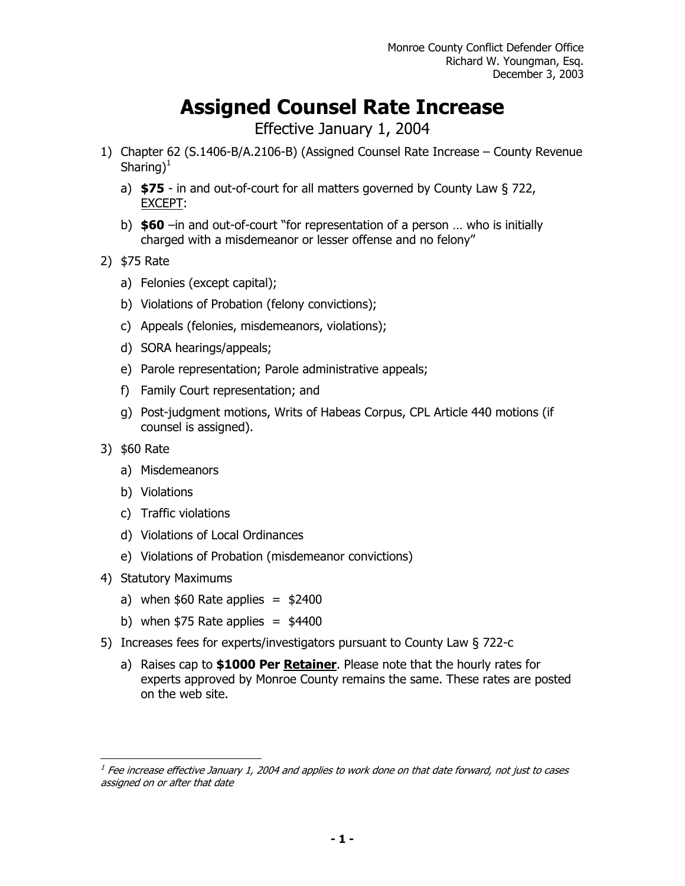## **Assigned Counsel Rate Increase**

Effective January 1, 2004

- 1) Chapter 62 (S.1406-B/A.2106-B) (Assigned Counsel Rate Increase County Revenue Sharing)<sup>1</sup>
	- a) **\$75** in and out-of-court for all matters governed by County Law § 722, EXCEPT:
	- b) **\$60** –in and out-of-court "for representation of a person … who is initially charged with a misdemeanor or lesser offense and no felony"
- 2) \$75 Rate
	- a) Felonies (except capital);
	- b) Violations of Probation (felony convictions);
	- c) Appeals (felonies, misdemeanors, violations);
	- d) SORA hearings/appeals;
	- e) Parole representation; Parole administrative appeals;
	- f) Family Court representation; and
	- g) Post-judgment motions, Writs of Habeas Corpus, CPL Article 440 motions (if counsel is assigned).
- 3) \$60 Rate

 $\overline{a}$ 

- a) Misdemeanors
- b) Violations
- c) Traffic violations
- d) Violations of Local Ordinances
- e) Violations of Probation (misdemeanor convictions)
- 4) Statutory Maximums
	- a) when  $$60$  Rate applies =  $$2400$
	- b) when  $$75$  Rate applies =  $$4400$
- 5) Increases fees for experts/investigators pursuant to County Law § 722-c
	- a) Raises cap to **\$1000 Per Retainer**. Please note that the hourly rates for experts approved by Monroe County remains the same. These rates are posted on the web site.

 $<sup>1</sup>$  Fee increase effective January 1, 2004 and applies to work done on that date forward, not just to cases</sup> assigned on or after that date